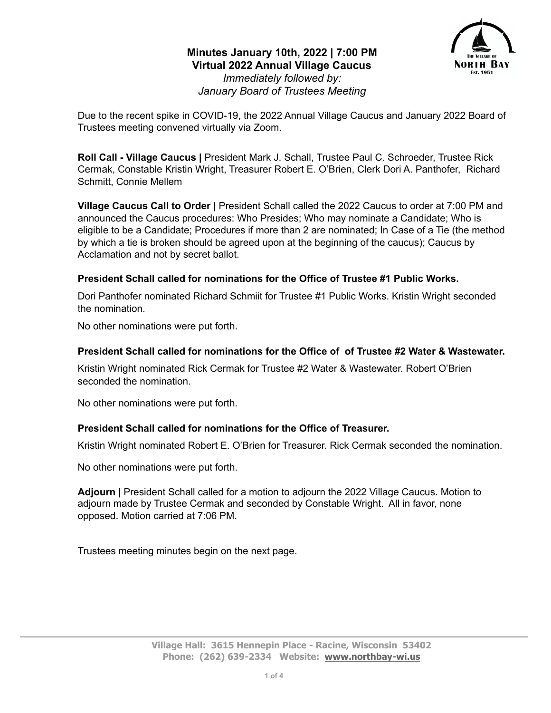

**Minutes January 10th, 2022 | 7:00 PM Virtual 2022 Annual Village Caucus** *Immediately followed by: January Board of Trustees Meeting*

Due to the recent spike in COVID-19, the 2022 Annual Village Caucus and January 2022 Board of Trustees meeting convened virtually via Zoom.

**Roll Call - Village Caucus |** President Mark J. Schall, Trustee Paul C. Schroeder, Trustee Rick Cermak, Constable Kristin Wright, Treasurer Robert E. O'Brien, Clerk Dori A. Panthofer, Richard Schmitt, Connie Mellem

**Village Caucus Call to Order |** President Schall called the 2022 Caucus to order at 7:00 PM and announced the Caucus procedures: Who Presides; Who may nominate a Candidate; Who is eligible to be a Candidate; Procedures if more than 2 are nominated; In Case of a Tie (the method by which a tie is broken should be agreed upon at the beginning of the caucus); Caucus by Acclamation and not by secret ballot.

# **President Schall called for nominations for the Office of Trustee #1 Public Works.**

Dori Panthofer nominated Richard Schmiit for Trustee #1 Public Works. Kristin Wright seconded the nomination.

No other nominations were put forth.

## **President Schall called for nominations for the Office of of Trustee #2 Water & Wastewater.**

Kristin Wright nominated Rick Cermak for Trustee #2 Water & Wastewater. Robert O'Brien seconded the nomination.

No other nominations were put forth.

### **President Schall called for nominations for the Office of Treasurer.**

Kristin Wright nominated Robert E. O'Brien for Treasurer. Rick Cermak seconded the nomination.

No other nominations were put forth.

**Adjourn** | President Schall called for a motion to adjourn the 2022 Village Caucus. Motion to adjourn made by Trustee Cermak and seconded by Constable Wright. All in favor, none opposed. Motion carried at 7:06 PM.

Trustees meeting minutes begin on the next page.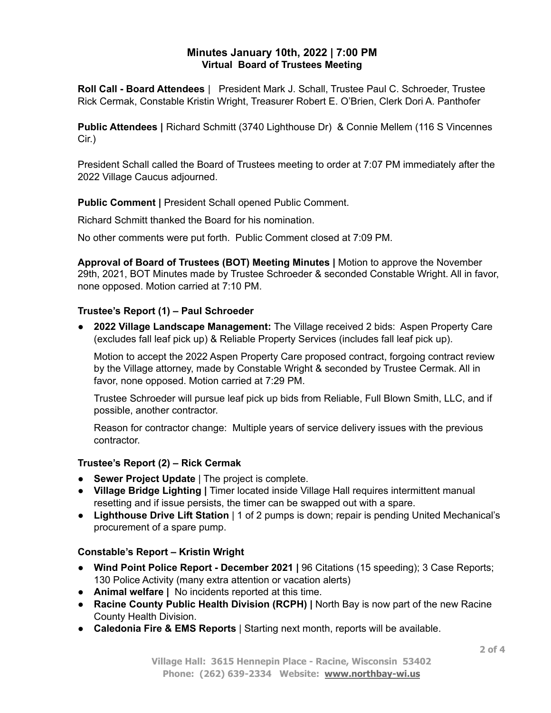## **Minutes January 10th, 2022 | 7:00 PM Virtual Board of Trustees Meeting**

**Roll Call - Board Attendees** | President Mark J. Schall, Trustee Paul C. Schroeder, Trustee Rick Cermak, Constable Kristin Wright, Treasurer Robert E. O'Brien, Clerk Dori A. Panthofer

**Public Attendees |** Richard Schmitt (3740 Lighthouse Dr) & Connie Mellem (116 S Vincennes Cir.)

President Schall called the Board of Trustees meeting to order at 7:07 PM immediately after the 2022 Village Caucus adjourned.

**Public Comment |** President Schall opened Public Comment.

Richard Schmitt thanked the Board for his nomination.

No other comments were put forth. Public Comment closed at 7:09 PM.

**Approval of Board of Trustees (BOT) Meeting Minutes |** Motion to approve the November 29th, 2021, BOT Minutes made by Trustee Schroeder & seconded Constable Wright. All in favor, none opposed. Motion carried at 7:10 PM.

### **Trustee's Report (1) – Paul Schroeder**

● **2022 Village Landscape Management:** The Village received 2 bids: Aspen Property Care (excludes fall leaf pick up) & Reliable Property Services (includes fall leaf pick up).

Motion to accept the 2022 Aspen Property Care proposed contract, forgoing contract review by the Village attorney, made by Constable Wright & seconded by Trustee Cermak. All in favor, none opposed. Motion carried at 7:29 PM.

Trustee Schroeder will pursue leaf pick up bids from Reliable, Full Blown Smith, LLC, and if possible, another contractor.

Reason for contractor change: Multiple years of service delivery issues with the previous contractor.

### **Trustee's Report (2) – Rick Cermak**

- **Sewer Project Update** | The project is complete.
- **Village Bridge Lighting |** Timer located inside Village Hall requires intermittent manual resetting and if issue persists, the timer can be swapped out with a spare.
- **Lighthouse Drive Lift Station** | 1 of 2 pumps is down; repair is pending United Mechanical's procurement of a spare pump.

### **Constable's Report – Kristin Wright**

- **Wind Point Police Report - December 2021 |** 96 Citations (15 speeding); 3 Case Reports; 130 Police Activity (many extra attention or vacation alerts)
- **Animal welfare |** No incidents reported at this time.
- **Racine County Public Health Division (RCPH) |** North Bay is now part of the new Racine County Health Division.
- **Caledonia Fire & EMS Reports** | Starting next month, reports will be available.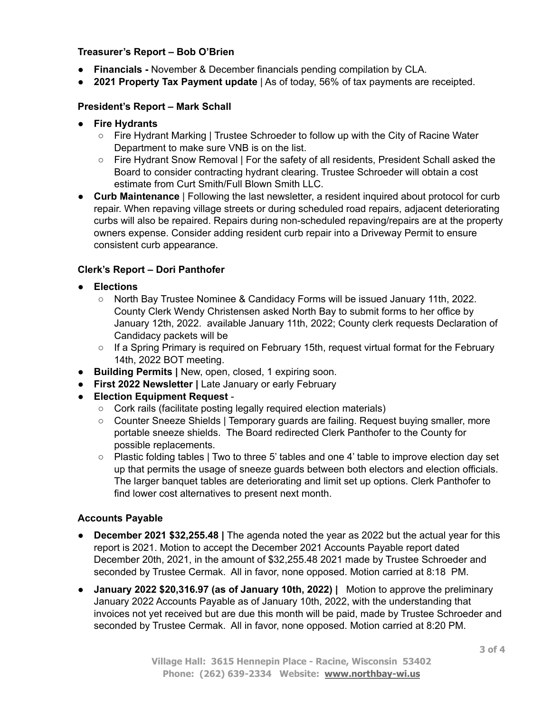### **Treasurer's Report – Bob O'Brien**

- **Financials -** November & December financials pending compilation by CLA.
- **2021 Property Tax Payment update** | As of today, 56% of tax payments are receipted.

#### **President's Report – Mark Schall**

- **● Fire Hydrants**
	- Fire Hydrant Marking | Trustee Schroeder to follow up with the City of Racine Water Department to make sure VNB is on the list.
	- Fire Hydrant Snow Removal | For the safety of all residents, President Schall asked the Board to consider contracting hydrant clearing. Trustee Schroeder will obtain a cost estimate from Curt Smith/Full Blown Smith LLC.
- **Curb Maintenance** | Following the last newsletter, a resident inquired about protocol for curb repair. When repaving village streets or during scheduled road repairs, adjacent deteriorating curbs will also be repaired. Repairs during non-scheduled repaving/repairs are at the property owners expense. Consider adding resident curb repair into a Driveway Permit to ensure consistent curb appearance.

### **Clerk's Report – Dori Panthofer**

- **● Elections**
	- North Bay Trustee Nominee & Candidacy Forms will be issued January 11th, 2022. County Clerk Wendy Christensen asked North Bay to submit forms to her office by January 12th, 2022. available January 11th, 2022; County clerk requests Declaration of Candidacy packets will be
	- If a Spring Primary is required on February 15th, request virtual format for the February 14th, 2022 BOT meeting.
- **Building Permits |** New, open, closed, 1 expiring soon.
- **● First 2022 Newsletter |** Late January or early February
- **Election Equipment Request**
	- Cork rails (facilitate posting legally required election materials)
	- Counter Sneeze Shields | Temporary guards are failing. Request buying smaller, more portable sneeze shields. The Board redirected Clerk Panthofer to the County for possible replacements.
	- Plastic folding tables | Two to three 5' tables and one 4' table to improve election day set up that permits the usage of sneeze guards between both electors and election officials. The larger banquet tables are deteriorating and limit set up options. Clerk Panthofer to find lower cost alternatives to present next month.

#### **Accounts Payable**

- **December 2021 \$32,255.48 |** The agenda noted the year as 2022 but the actual year for this report is 2021. Motion to accept the December 2021 Accounts Payable report dated December 20th, 2021, in the amount of \$32,255.48 2021 made by Trustee Schroeder and seconded by Trustee Cermak. All in favor, none opposed. Motion carried at 8:18 PM.
- **January 2022 \$20,316.97 (as of January 10th, 2022) |** Motion to approve the preliminary January 2022 Accounts Payable as of January 10th, 2022, with the understanding that invoices not yet received but are due this month will be paid, made by Trustee Schroeder and seconded by Trustee Cermak. All in favor, none opposed. Motion carried at 8:20 PM.